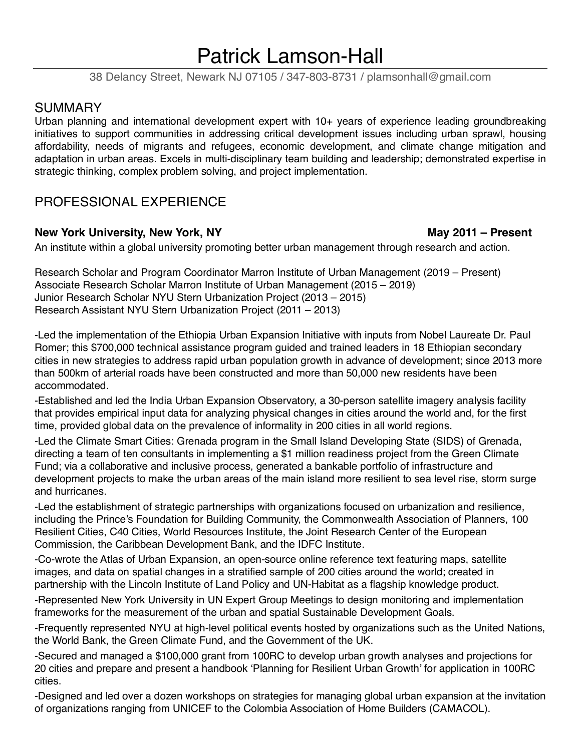# Patrick Lamson-Hall

38 Delancy Street, Newark NJ 07105 / 347-803-8731 / plamsonhall@gmail.com

# **SUMMARY**

Urban planning and international development expert with 10+ years of experience leading groundbreaking initiatives to support communities in addressing critical development issues including urban sprawl, housing affordability, needs of migrants and refugees, economic development, and climate change mitigation and adaptation in urban areas. Excels in multi-disciplinary team building and leadership; demonstrated expertise in strategic thinking, complex problem solving, and project implementation.

# PROFESSIONAL EXPERIENCE

### **New York University, New York, NY May 2011 – Present**

An institute within a global university promoting better urban management through research and action.

Research Scholar and Program Coordinator Marron Institute of Urban Management (2019 – Present) Associate Research Scholar Marron Institute of Urban Management (2015 – 2019) Junior Research Scholar NYU Stern Urbanization Project (2013 – 2015) Research Assistant NYU Stern Urbanization Project (2011 – 2013)

-Led the implementation of the Ethiopia Urban Expansion Initiative with inputs from Nobel Laureate Dr. Paul Romer; this \$700,000 technical assistance program guided and trained leaders in 18 Ethiopian secondary cities in new strategies to address rapid urban population growth in advance of development; since 2013 more than 500km of arterial roads have been constructed and more than 50,000 new residents have been accommodated.

-Established and led the India Urban Expansion Observatory, a 30-person satellite imagery analysis facility that provides empirical input data for analyzing physical changes in cities around the world and, for the first time, provided global data on the prevalence of informality in 200 cities in all world regions.

-Led the Climate Smart Cities: Grenada program in the Small Island Developing State (SIDS) of Grenada, directing a team of ten consultants in implementing a \$1 million readiness project from the Green Climate Fund; via a collaborative and inclusive process, generated a bankable portfolio of infrastructure and development projects to make the urban areas of the main island more resilient to sea level rise, storm surge and hurricanes.

-Led the establishment of strategic partnerships with organizations focused on urbanization and resilience, including the Prince's Foundation for Building Community, the Commonwealth Association of Planners, 100 Resilient Cities, C40 Cities, World Resources Institute, the Joint Research Center of the European Commission, the Caribbean Development Bank, and the IDFC Institute.

-Co-wrote the Atlas of Urban Expansion, an open-source online reference text featuring maps, satellite images, and data on spatial changes in a stratified sample of 200 cities around the world; created in partnership with the Lincoln Institute of Land Policy and UN-Habitat as a flagship knowledge product.

-Represented New York University in UN Expert Group Meetings to design monitoring and implementation frameworks for the measurement of the urban and spatial Sustainable Development Goals.

-Frequently represented NYU at high-level political events hosted by organizations such as the United Nations, the World Bank, the Green Climate Fund, and the Government of the UK.

-Secured and managed a \$100,000 grant from 100RC to develop urban growth analyses and projections for 20 cities and prepare and present a handbook 'Planning for Resilient Urban Growth' for application in 100RC cities.

-Designed and led over a dozen workshops on strategies for managing global urban expansion at the invitation of organizations ranging from UNICEF to the Colombia Association of Home Builders (CAMACOL).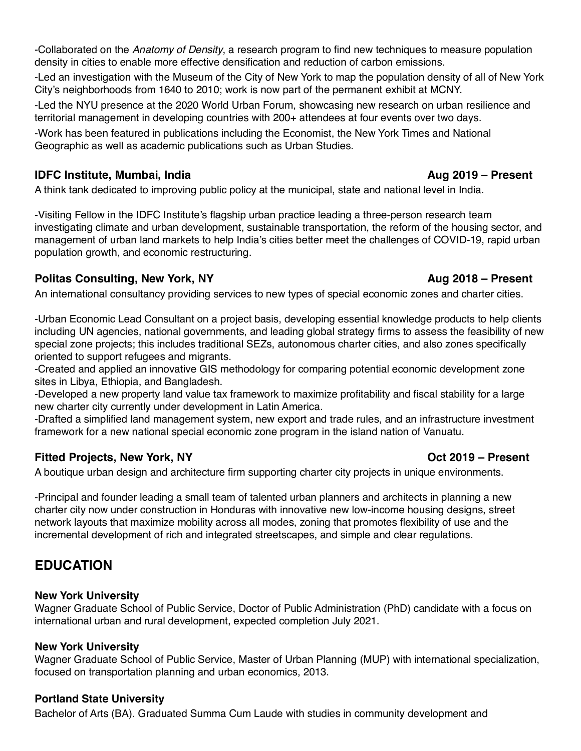Bachelor of Arts (BA). Graduated Summa Cum Laude with studies in community development and

-Collaborated on the *Anatomy of Density*, a research program to find new techniques to measure population density in cities to enable more effective densification and reduction of carbon emissions.

-Led an investigation with the Museum of the City of New York to map the population density of all of New York City's neighborhoods from 1640 to 2010; work is now part of the permanent exhibit at MCNY.

-Led the NYU presence at the 2020 World Urban Forum, showcasing new research on urban resilience and territorial management in developing countries with 200+ attendees at four events over two days.

-Work has been featured in publications including the Economist, the New York Times and National Geographic as well as academic publications such as Urban Studies.

### **IDFC Institute, Mumbai, India Aug 2019 – Present**

A think tank dedicated to improving public policy at the municipal, state and national level in India.

-Visiting Fellow in the IDFC Institute's flagship urban practice leading a three-person research team investigating climate and urban development, sustainable transportation, the reform of the housing sector, and management of urban land markets to help India's cities better meet the challenges of COVID-19, rapid urban population growth, and economic restructuring.

## **Politas Consulting, New York, NY Aug 2018 – Present**

An international consultancy providing services to new types of special economic zones and charter cities.

-Urban Economic Lead Consultant on a project basis, developing essential knowledge products to help clients including UN agencies, national governments, and leading global strategy firms to assess the feasibility of new special zone projects; this includes traditional SEZs, autonomous charter cities, and also zones specifically oriented to support refugees and migrants.

-Created and applied an innovative GIS methodology for comparing potential economic development zone sites in Libya, Ethiopia, and Bangladesh.

-Developed a new property land value tax framework to maximize profitability and fiscal stability for a large new charter city currently under development in Latin America.

-Drafted a simplified land management system, new export and trade rules, and an infrastructure investment framework for a new national special economic zone program in the island nation of Vanuatu.

# **Fitted Projects, New York, NY CONSIDERITY ASSESSED ASSESSED AT A CONSIDERITY Oct 2019 – Present**

A boutique urban design and architecture firm supporting charter city projects in unique environments.

-Principal and founder leading a small team of talented urban planners and architects in planning a new charter city now under construction in Honduras with innovative new low-income housing designs, street network layouts that maximize mobility across all modes, zoning that promotes flexibility of use and the incremental development of rich and integrated streetscapes, and simple and clear regulations.

# **EDUCATION**

### **New York University**

Wagner Graduate School of Public Service, Doctor of Public Administration (PhD) candidate with a focus on international urban and rural development, expected completion July 2021.

### **New York University**

Wagner Graduate School of Public Service, Master of Urban Planning (MUP) with international specialization, focused on transportation planning and urban economics, 2013.

# **Portland State University**